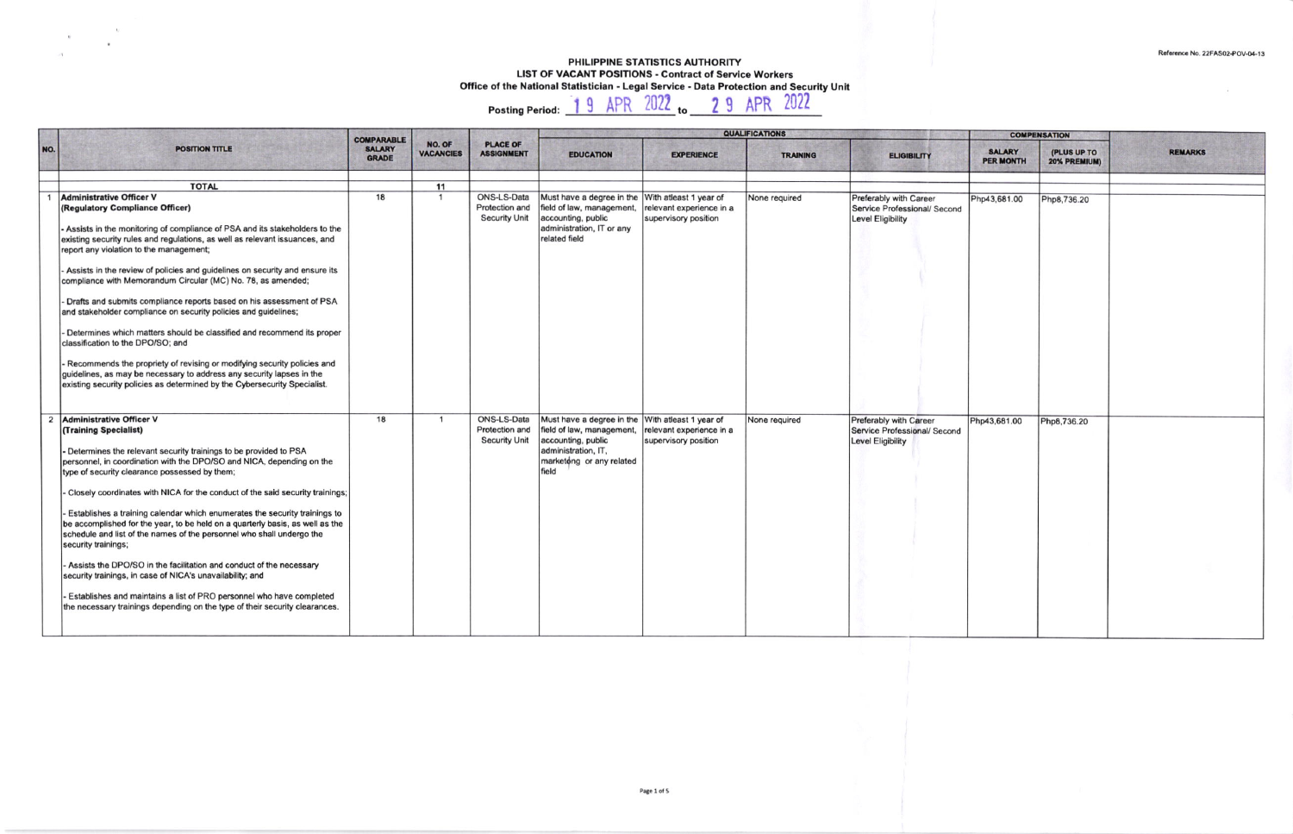## PHILIPPINE STATISTICS AUTHORITY LIST OF VACANT POSITIONS - Contract of Service Workers Office of the National Statistician - Legal Service - Data Protection and Security Unit<br>Posting Period: 19 APR 2022 to 29 APR 2022

 $\sim$ 

|     |                                                                                                                                                                                                                                                                                                                                                                                                                                                                                                                                                                                                                                                                                                                                                                                                                                                                                                                          | <b>COMPARABLE</b>             |                            |                                                              | <b>QUALIFICATIONS</b>                                                                                                                                           |                                                  |                 |                                                                             |                            | <b>COMPENSATION</b>         |                |
|-----|--------------------------------------------------------------------------------------------------------------------------------------------------------------------------------------------------------------------------------------------------------------------------------------------------------------------------------------------------------------------------------------------------------------------------------------------------------------------------------------------------------------------------------------------------------------------------------------------------------------------------------------------------------------------------------------------------------------------------------------------------------------------------------------------------------------------------------------------------------------------------------------------------------------------------|-------------------------------|----------------------------|--------------------------------------------------------------|-----------------------------------------------------------------------------------------------------------------------------------------------------------------|--------------------------------------------------|-----------------|-----------------------------------------------------------------------------|----------------------------|-----------------------------|----------------|
| NO. | <b>POSITION TITLE</b>                                                                                                                                                                                                                                                                                                                                                                                                                                                                                                                                                                                                                                                                                                                                                                                                                                                                                                    | <b>SALARY</b><br><b>GRADE</b> | NO. OF<br><b>VACANCIES</b> | <b>PLACE OF</b><br><b>ASSIGNMENT</b>                         | <b>EDUCATION</b>                                                                                                                                                | <b>EXPERIENCE</b>                                | <b>TRAINING</b> | <b>ELIGIBILITY</b>                                                          | SALARY<br><b>PER MONTH</b> | (PLUS UP TO<br>20% PREMIUM) | <b>REMARKS</b> |
|     | <b>TOTAL</b>                                                                                                                                                                                                                                                                                                                                                                                                                                                                                                                                                                                                                                                                                                                                                                                                                                                                                                             |                               | 11                         |                                                              |                                                                                                                                                                 |                                                  |                 |                                                                             |                            |                             |                |
|     | <b>Administrative Officer V</b><br>(Regulatory Compliance Officer)<br>- Assists in the monitoring of compliance of PSA and its stakeholders to the<br>existing security rules and regulations, as well as relevant issuances, and<br>report any violation to the management;<br>Assists in the review of policies and guidelines on security and ensure its<br>compliance with Memorandum Circular (MC) No. 78, as amended;<br>Drafts and submits compliance reports based on his assessment of PSA<br>and stakeholder compliance on security policies and guidelines;<br>Determines which matters should be classified and recommend its proper<br>classification to the DPO/SO; and<br>- Recommends the propriety of revising or modifying security policies and<br>guidelines, as may be necessary to address any security lapses in the<br>existing security policies as determined by the Cybersecurity Specialist. | 18                            | $\overline{1}$             | ONS-LS-Data<br>Protection and<br><b>Security Unit</b>        | Must have a degree in the With atleast 1 year of<br>field of law, management,<br>accounting, public<br>administration, IT or any<br>related field               | relevant experience in a<br>supervisory position | None required   | Preferably with Career<br>Service Professional/ Second<br>Level Eligibility | Php43,681.00               | Php8,736.20                 |                |
|     | 2 Administrative Officer V<br>(Training Specialist)<br>- Determines the relevant security trainings to be provided to PSA<br>personnel, in coordination with the DPO/SO and NICA, depending on the<br>type of security clearance possessed by them;<br>- Closely coordinates with NICA for the conduct of the said security trainings;<br>Establishes a training calendar which enumerates the security trainings to<br>be accomplished for the year, to be held on a quarterly basis, as well as the<br>schedule and list of the names of the personnel who shall undergo the<br>security trainings;<br>Assists the DPO/SO in the facilitation and conduct of the necessary<br>security trainings, in case of NICA's unavailability; and<br>- Establishes and maintains a list of PRO personnel who have completed<br>the necessary trainings depending on the type of their security clearances.                       | 18                            | $\overline{\mathbf{1}}$    | <b>ONS-LS-Data</b><br>Protection and<br><b>Security Unit</b> | Must have a degree in the With atleast 1 year of<br>field of law, management,<br>accounting, public<br>administration, IT,<br>marketong or any related<br>field | relevant experience in a<br>supervisory position | None required   | Preferably with Career<br>Service Professional/ Second<br>Level Eligibility | Php43,681.00               | Php8,736.20                 |                |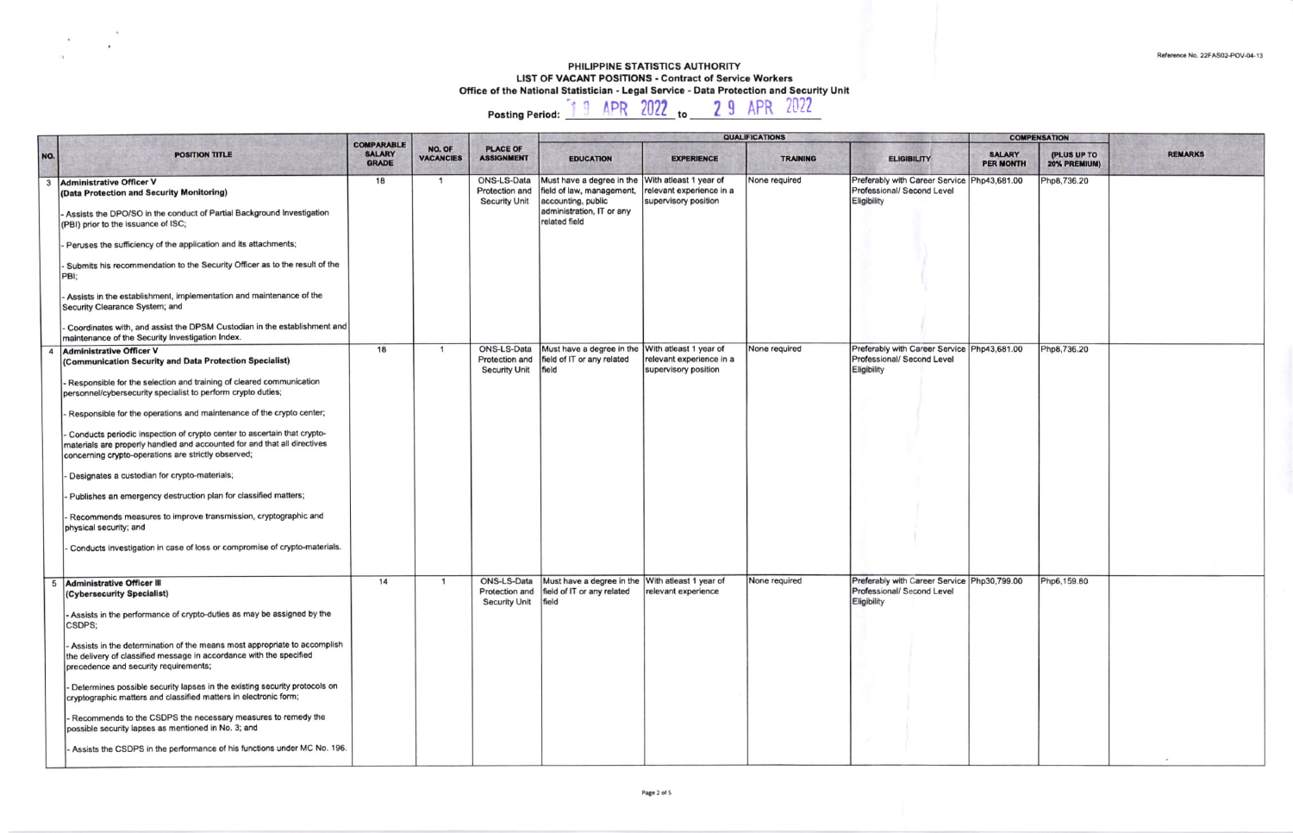## PHILIPPINE STATISTICS AUTHORITY LIST OF VACANT POSITIONS - Contract of Service Workers<br>Office of the National Statistician - Legal Service - Data Protection and Security Unit<br>Posting Period: [1.9 APR 2022 to 2.9 APR 2022

OUALITICATIO

| NO.            | <b>POSITION TITLE</b>                                                                                                                                                                                      | <b>COMPARABLE</b><br><b>SALARY</b> | NO. OF<br><b>VACANCIES</b> | <b>PLACE OF</b><br><b>ASSIGNMENT</b>                         | <b>EDUCATION</b>                                                                                                           | <b>EXPERIENCE</b>                                                          | <b>MAMPILIANING</b><br><b>TRAINING</b> | <b>ELIGIBILITY</b>                                                                              | <b>SALARY</b>    | <b>COME ENSYTION</b><br>(PLUS UP TO | <b>REMARKS</b> |
|----------------|------------------------------------------------------------------------------------------------------------------------------------------------------------------------------------------------------------|------------------------------------|----------------------------|--------------------------------------------------------------|----------------------------------------------------------------------------------------------------------------------------|----------------------------------------------------------------------------|----------------------------------------|-------------------------------------------------------------------------------------------------|------------------|-------------------------------------|----------------|
|                |                                                                                                                                                                                                            | <b>GRADE</b>                       |                            |                                                              |                                                                                                                            |                                                                            |                                        |                                                                                                 | <b>PER MONTH</b> | 20% PREMIUM)                        |                |
| $\mathbf{3}$   | <b>Administrative Officer V</b><br>(Data Protection and Security Monitoring)                                                                                                                               | 18                                 | $\mathbf{1}$               | ONS-LS-Data<br>Protection and<br><b>Security Unit</b>        | Must have a degree in the<br>field of law, management,<br>accounting, public<br>administration, IT or any<br>related field | With atleast 1 year of<br>relevant experience in a<br>supervisory position | None required                          | Preferably with Career Service Php43,681.00<br>Professional/ Second Level<br>Eligibility        |                  | Php8,736.20                         |                |
|                | Assists the DPO/SO in the conduct of Partial Background Investigation<br>(PBI) prior to the issuance of ISC;                                                                                               |                                    |                            |                                                              |                                                                                                                            |                                                                            |                                        |                                                                                                 |                  |                                     |                |
|                | Peruses the sufficiency of the application and its attachments;                                                                                                                                            |                                    |                            |                                                              |                                                                                                                            |                                                                            |                                        |                                                                                                 |                  |                                     |                |
|                | Submits his recommendation to the Security Officer as to the result of the<br>PBI:                                                                                                                         |                                    |                            |                                                              |                                                                                                                            |                                                                            |                                        |                                                                                                 |                  |                                     |                |
|                | Assists in the establishment, implementation and maintenance of the<br>Security Clearance System; and                                                                                                      |                                    |                            |                                                              |                                                                                                                            |                                                                            |                                        |                                                                                                 |                  |                                     |                |
|                | Coordinates with, and assist the DPSM Custodian in the establishment and<br>naintenance of the Security Investigation Index.                                                                               |                                    |                            |                                                              |                                                                                                                            |                                                                            |                                        |                                                                                                 |                  |                                     |                |
| $\overline{4}$ | <b>Administrative Officer V</b><br>(Communication Security and Data Protection Specialist)                                                                                                                 | 18                                 |                            | <b>ONS-LS-Data</b><br>Protection and<br><b>Security Unit</b> | Must have a degree in the With atleast 1 year of<br>field of IT or any related<br>field                                    | relevant experience in a<br>supervisory position                           | None required                          | Preferably with Career Service Php43,681.00<br><b>Professional/ Second Level</b><br>Eligibility |                  | Php8,736.20                         |                |
|                | Responsible for the selection and training of cleared communication<br>personnel/cybersecurity specialist to perform crypto duties;                                                                        |                                    |                            |                                                              |                                                                                                                            |                                                                            |                                        |                                                                                                 |                  |                                     |                |
|                | Responsible for the operations and maintenance of the crypto center;                                                                                                                                       |                                    |                            |                                                              |                                                                                                                            |                                                                            |                                        |                                                                                                 |                  |                                     |                |
|                | Conducts periodic inspection of crypto center to ascertain that crypto-<br>materials are properly handled and accounted for and that all directives<br>concerning crypto-operations are strictly observed; |                                    |                            |                                                              |                                                                                                                            |                                                                            |                                        |                                                                                                 |                  |                                     |                |
|                | Designates a custodian for crypto-materials;                                                                                                                                                               |                                    |                            |                                                              |                                                                                                                            |                                                                            |                                        |                                                                                                 |                  |                                     |                |
|                | Publishes an emergency destruction plan for classified matters;                                                                                                                                            |                                    |                            |                                                              |                                                                                                                            |                                                                            |                                        |                                                                                                 |                  |                                     |                |
|                | Recommends measures to improve transmission, cryptographic and<br>physical security; and                                                                                                                   |                                    |                            |                                                              |                                                                                                                            |                                                                            |                                        |                                                                                                 |                  |                                     |                |
|                | Conducts investigation in case of loss or compromise of crypto-materials.                                                                                                                                  |                                    |                            |                                                              |                                                                                                                            |                                                                            |                                        |                                                                                                 |                  |                                     |                |
| 5              | <b>Administrative Officer III</b><br>(Cybersecurity Specialist)                                                                                                                                            | 14                                 | -1                         | ONS-LS-Data<br>Protection and<br><b>Security Unit</b>        | Must have a degree in the With atleast 1 year of<br>field of IT or any related<br>field                                    | relevant experience                                                        | None required                          | Preferably with Career Service Php30,799.00<br>Professional/ Second Level<br>Eligibility        |                  | Php6,159.80                         |                |
|                | Assists in the performance of crypto-duties as may be assigned by the<br>CSDPS;                                                                                                                            |                                    |                            |                                                              |                                                                                                                            |                                                                            |                                        |                                                                                                 |                  |                                     |                |
|                | Assists in the determination of the means most appropriate to accomplish<br>the delivery of classified message in accordance with the specified<br>precedence and security requirements;                   |                                    |                            |                                                              |                                                                                                                            |                                                                            |                                        |                                                                                                 |                  |                                     |                |
|                | Determines possible security lapses in the existing security protocols on<br>cryptographic matters and classified matters in electronic form;                                                              |                                    |                            |                                                              |                                                                                                                            |                                                                            |                                        |                                                                                                 |                  |                                     |                |
|                | Recommends to the CSDPS the necessary measures to remedy the<br>possible security lapses as mentioned in No. 3; and                                                                                        |                                    |                            |                                                              |                                                                                                                            |                                                                            |                                        |                                                                                                 |                  |                                     |                |
|                | Assists the CSDPS in the performance of his functions under MC No. 196.                                                                                                                                    |                                    |                            |                                                              |                                                                                                                            |                                                                            |                                        |                                                                                                 |                  |                                     |                |